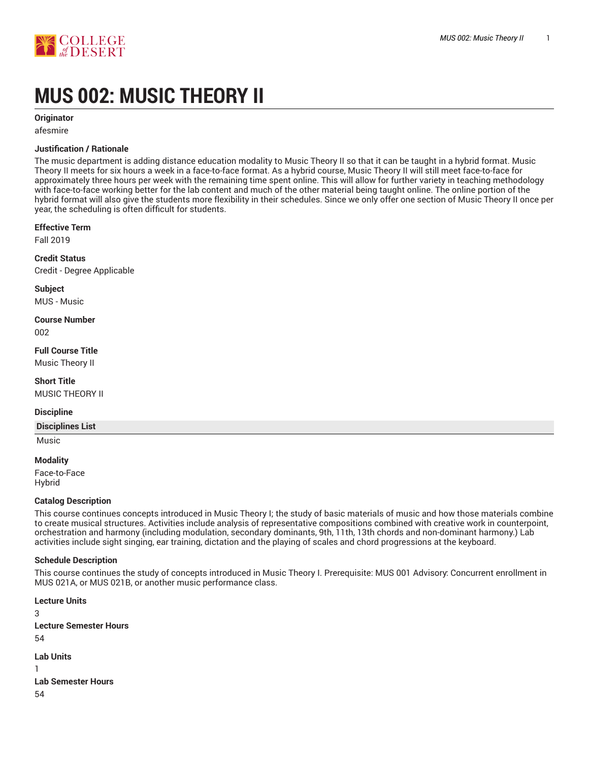

# **MUS 002: MUSIC THEORY II**

**Originator**

afesmire

### **Justification / Rationale**

The music department is adding distance education modality to Music Theory II so that it can be taught in a hybrid format. Music Theory II meets for six hours a week in a face-to-face format. As a hybrid course, Music Theory II will still meet face-to-face for approximately three hours per week with the remaining time spent online. This will allow for further variety in teaching methodology with face-to-face working better for the lab content and much of the other material being taught online. The online portion of the hybrid format will also give the students more flexibility in their schedules. Since we only offer one section of Music Theory II once per year, the scheduling is often difficult for students.

#### **Effective Term**

Fall 2019

**Credit Status** Credit - Degree Applicable

**Subject**

MUS - Music

**Course Number** 002

**Full Course Title**

Music Theory II

**Short Title** MUSIC THEORY II

#### **Discipline**

**Disciplines List**

# Music **Modality**

Face-to-Face Hybrid

#### **Catalog Description**

This course continues concepts introduced in Music Theory I; the study of basic materials of music and how those materials combine to create musical structures. Activities include analysis of representative compositions combined with creative work in counterpoint, orchestration and harmony (including modulation, secondary dominants, 9th, 11th, 13th chords and non-dominant harmony.) Lab activities include sight singing, ear training, dictation and the playing of scales and chord progressions at the keyboard.

#### **Schedule Description**

This course continues the study of concepts introduced in Music Theory I. Prerequisite: MUS 001 Advisory: Concurrent enrollment in MUS 021A, or MUS 021B, or another music performance class.

**Lecture Units** 3 **Lecture Semester Hours** 54 **Lab Units** 1 **Lab Semester Hours** 54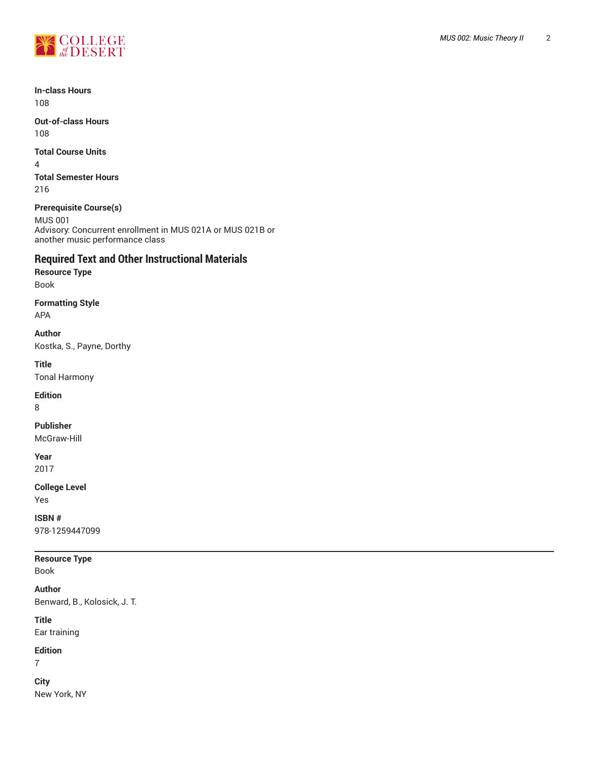

**In-class Hours** 108

**Out-of-class Hours** 108

**Total Course Units**

4 **Total Semester Hours** 216

**Prerequisite Course(s)**

MUS 001 Advisory: Concurrent enrollment in MUS 021A or MUS 021B or another music performance class

### **Required Text and Other Instructional Materials**

**Resource Type** Book

**Formatting Style** APA

**Author** Kostka, S., Payne, Dorthy

**Title** Tonal Harmony

**Edition**

8

**Publisher**

McGraw-Hill

**Year** 2017

**College Level**

Yes

**ISBN #** 978-1259447099

### **Resource Type**

Book

**Author** Benward, B., Kolosick, J. T.

**Title**

Ear training

**Edition**

7

**City** New York, NY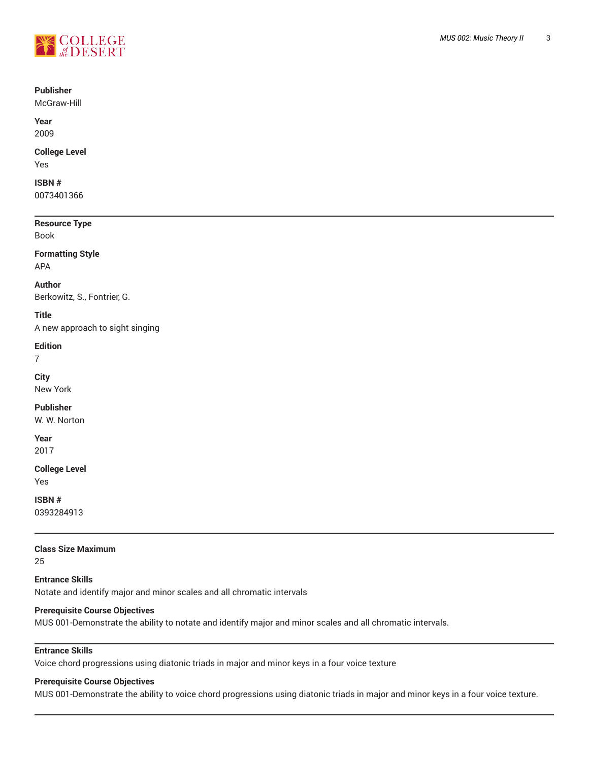

### **Publisher**

McGraw-Hill

**Year** 2009

### **College Level**

Yes

#### **ISBN #** 0073401366

**Resource Type**

Book

#### **Formatting Style** APA

# **Author**

Berkowitz, S., Fontrier, G.

### **Title**

A new approach to sight singing

### **Edition**

7

#### **City** New York

### **Publisher**

W. W. Norton

# **Year**

2017

### **College Level**

Yes

**ISBN #** 0393284913

### **Class Size Maximum**

25

**Entrance Skills** Notate and identify major and minor scales and all chromatic intervals

### **Prerequisite Course Objectives**

MUS 001-Demonstrate the ability to notate and identify major and minor scales and all chromatic intervals.

### **Entrance Skills**

Voice chord progressions using diatonic triads in major and minor keys in a four voice texture

### **Prerequisite Course Objectives**

MUS 001-Demonstrate the ability to voice chord progressions using diatonic triads in major and minor keys in a four voice texture.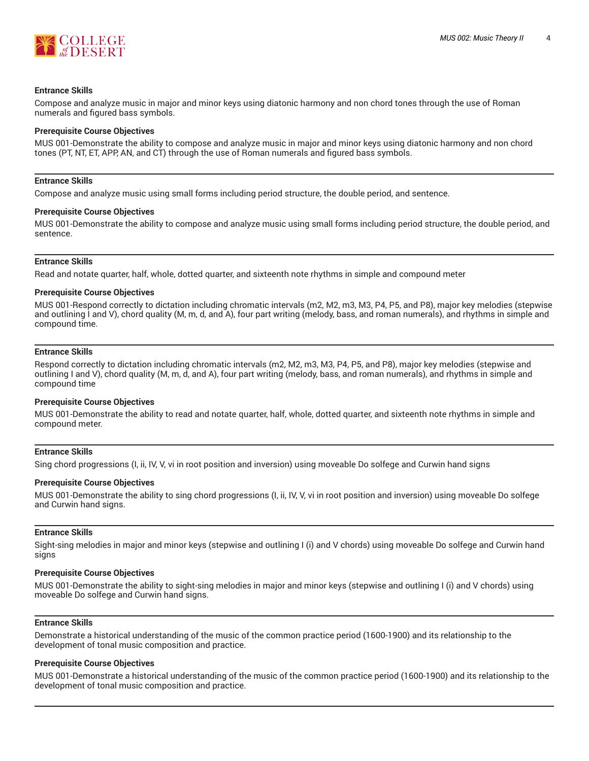

#### **Entrance Skills**

Compose and analyze music in major and minor keys using diatonic harmony and non chord tones through the use of Roman numerals and figured bass symbols.

#### **Prerequisite Course Objectives**

MUS 001-Demonstrate the ability to compose and analyze music in major and minor keys using diatonic harmony and non chord tones (PT, NT, ET, APP, AN, and CT) through the use of Roman numerals and figured bass symbols.

#### **Entrance Skills**

Compose and analyze music using small forms including period structure, the double period, and sentence.

#### **Prerequisite Course Objectives**

MUS 001-Demonstrate the ability to compose and analyze music using small forms including period structure, the double period, and sentence.

#### **Entrance Skills**

Read and notate quarter, half, whole, dotted quarter, and sixteenth note rhythms in simple and compound meter

#### **Prerequisite Course Objectives**

MUS 001-Respond correctly to dictation including chromatic intervals (m2, M2, m3, M3, P4, P5, and P8), major key melodies (stepwise and outlining I and V), chord quality (M, m, d, and A), four part writing (melody, bass, and roman numerals), and rhythms in simple and compound time.

#### **Entrance Skills**

Respond correctly to dictation including chromatic intervals (m2, M2, m3, M3, P4, P5, and P8), major key melodies (stepwise and outlining I and V), chord quality (M, m, d, and A), four part writing (melody, bass, and roman numerals), and rhythms in simple and compound time

#### **Prerequisite Course Objectives**

MUS 001-Demonstrate the ability to read and notate quarter, half, whole, dotted quarter, and sixteenth note rhythms in simple and compound meter.

#### **Entrance Skills**

Sing chord progressions (I, ii, IV, V, vi in root position and inversion) using moveable Do solfege and Curwin hand signs

#### **Prerequisite Course Objectives**

MUS 001-Demonstrate the ability to sing chord progressions (I, ii, IV, V, vi in root position and inversion) using moveable Do solfege and Curwin hand signs.

#### **Entrance Skills**

Sight-sing melodies in major and minor keys (stepwise and outlining I (i) and V chords) using moveable Do solfege and Curwin hand signs

#### **Prerequisite Course Objectives**

MUS 001-Demonstrate the ability to sight-sing melodies in major and minor keys (stepwise and outlining I (i) and V chords) using moveable Do solfege and Curwin hand signs.

### **Entrance Skills**

Demonstrate a historical understanding of the music of the common practice period (1600-1900) and its relationship to the development of tonal music composition and practice.

#### **Prerequisite Course Objectives**

MUS 001-Demonstrate a historical understanding of the music of the common practice period (1600-1900) and its relationship to the development of tonal music composition and practice.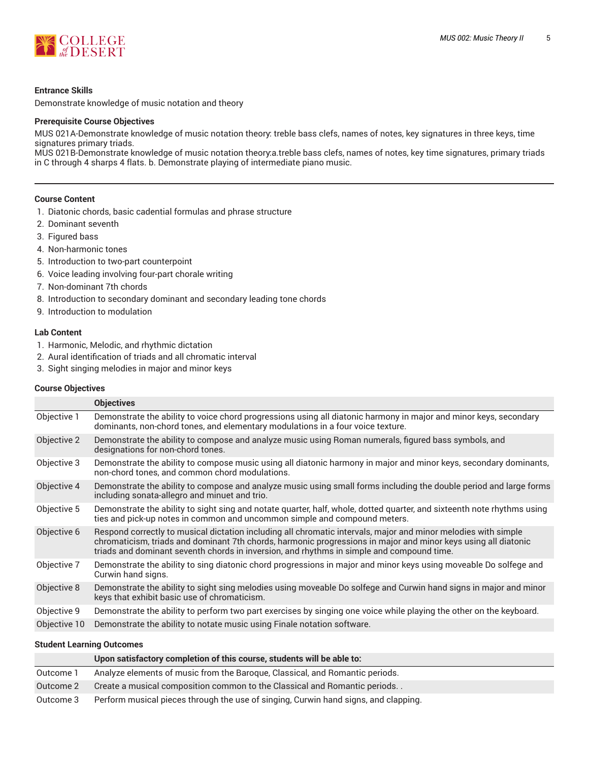

#### **Entrance Skills**

Demonstrate knowledge of music notation and theory

#### **Prerequisite Course Objectives**

MUS 021A-Demonstrate knowledge of music notation theory: treble bass clefs, names of notes, key signatures in three keys, time signatures primary triads.

MUS 021B-Demonstrate knowledge of music notation theory:a.treble bass clefs, names of notes, key time signatures, primary triads in C through 4 sharps 4 flats. b. Demonstrate playing of intermediate piano music.

#### **Course Content**

- 1. Diatonic chords, basic cadential formulas and phrase structure
- 2. Dominant seventh
- 3. Figured bass
- 4. Non-harmonic tones
- 5. Introduction to two-part counterpoint
- 6. Voice leading involving four-part chorale writing
- 7. Non-dominant 7th chords
- 8. Introduction to secondary dominant and secondary leading tone chords
- 9. Introduction to modulation

### **Lab Content**

- 1. Harmonic, Melodic, and rhythmic dictation
- 2. Aural identification of triads and all chromatic interval
- 3. Sight singing melodies in major and minor keys

#### **Course Objectives**

|              | <b>Objectives</b>                                                                                                                                                                                                                                                                                                             |  |
|--------------|-------------------------------------------------------------------------------------------------------------------------------------------------------------------------------------------------------------------------------------------------------------------------------------------------------------------------------|--|
| Objective 1  | Demonstrate the ability to voice chord progressions using all diatonic harmony in major and minor keys, secondary<br>dominants, non-chord tones, and elementary modulations in a four voice texture.                                                                                                                          |  |
| Objective 2  | Demonstrate the ability to compose and analyze music using Roman numerals, figured bass symbols, and<br>designations for non-chord tones.                                                                                                                                                                                     |  |
| Objective 3  | Demonstrate the ability to compose music using all diatonic harmony in major and minor keys, secondary dominants,<br>non-chord tones, and common chord modulations.                                                                                                                                                           |  |
| Objective 4  | Demonstrate the ability to compose and analyze music using small forms including the double period and large forms<br>including sonata-allegro and minuet and trio.                                                                                                                                                           |  |
| Objective 5  | Demonstrate the ability to sight sing and notate quarter, half, whole, dotted quarter, and sixteenth note rhythms using<br>ties and pick-up notes in common and uncommon simple and compound meters.                                                                                                                          |  |
| Objective 6  | Respond correctly to musical dictation including all chromatic intervals, major and minor melodies with simple<br>chromaticism, triads and dominant 7th chords, harmonic progressions in major and minor keys using all diatonic<br>triads and dominant seventh chords in inversion, and rhythms in simple and compound time. |  |
| Objective 7  | Demonstrate the ability to sing diatonic chord progressions in major and minor keys using moveable Do solfege and<br>Curwin hand signs.                                                                                                                                                                                       |  |
| Objective 8  | Demonstrate the ability to sight sing melodies using moveable Do solfege and Curwin hand signs in major and minor<br>keys that exhibit basic use of chromaticism.                                                                                                                                                             |  |
| Objective 9  | Demonstrate the ability to perform two part exercises by singing one voice while playing the other on the keyboard.                                                                                                                                                                                                           |  |
| Objective 10 | Demonstrate the ability to notate music using Finale notation software.                                                                                                                                                                                                                                                       |  |

#### **Student Learning Outcomes**

|           | Upon satisfactory completion of this course, students will be able to:              |
|-----------|-------------------------------------------------------------------------------------|
| Outcome 1 | Analyze elements of music from the Baroque, Classical, and Romantic periods.        |
| Outcome 2 | Create a musical composition common to the Classical and Romantic periods           |
| Outcome 3 | Perform musical pieces through the use of singing, Curwin hand signs, and clapping. |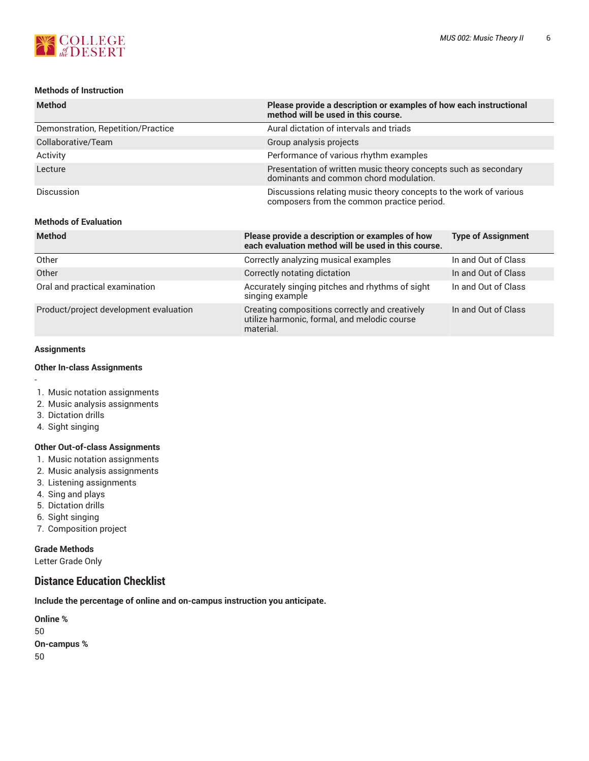

### **Methods of Instruction**

| <b>Method</b>                          | method will be used in this course.                                                                         | Please provide a description or examples of how each instructional |  |  |  |
|----------------------------------------|-------------------------------------------------------------------------------------------------------------|--------------------------------------------------------------------|--|--|--|
| Demonstration, Repetition/Practice     | Aural dictation of intervals and triads                                                                     |                                                                    |  |  |  |
| Collaborative/Team                     | Group analysis projects                                                                                     |                                                                    |  |  |  |
| Activity                               | Performance of various rhythm examples                                                                      |                                                                    |  |  |  |
| Lecture                                | dominants and common chord modulation.                                                                      | Presentation of written music theory concepts such as secondary    |  |  |  |
| <b>Discussion</b>                      | composers from the common practice period.                                                                  | Discussions relating music theory concepts to the work of various  |  |  |  |
| <b>Methods of Evaluation</b>           |                                                                                                             |                                                                    |  |  |  |
| <b>Method</b>                          | Please provide a description or examples of how<br>each evaluation method will be used in this course.      | <b>Type of Assignment</b>                                          |  |  |  |
| Other                                  | Correctly analyzing musical examples                                                                        | In and Out of Class                                                |  |  |  |
| Other                                  | Correctly notating dictation                                                                                | In and Out of Class                                                |  |  |  |
| Oral and practical examination         | Accurately singing pitches and rhythms of sight<br>singing example                                          | In and Out of Class                                                |  |  |  |
| Product/project development evaluation | Creating compositions correctly and creatively<br>utilize harmonic, formal, and melodic course<br>material. | In and Out of Class                                                |  |  |  |

#### **Assignments**

-

#### **Other In-class Assignments**

- 1. Music notation assignments
- 2. Music analysis assignments
- 3. Dictation drills
- 4. Sight singing

### **Other Out-of-class Assignments**

- 1. Music notation assignments
- 2. Music analysis assignments
- 3. Listening assignments
- 4. Sing and plays
- 5. Dictation drills
- 6. Sight singing
- 7. Composition project

### **Grade Methods**

Letter Grade Only

### **Distance Education Checklist**

**Include the percentage of online and on-campus instruction you anticipate.**

**Online %** 50 **On-campus %** 50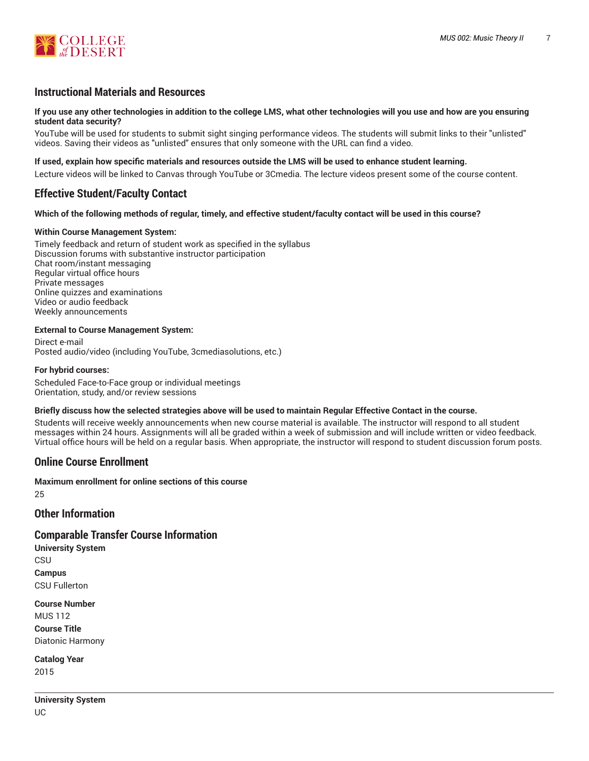

### **Instructional Materials and Resources**

#### If you use any other technologies in addition to the college LMS, what other technologies will you use and how are you ensuring **student data security?**

YouTube will be used for students to submit sight singing performance videos. The students will submit links to their "unlisted" videos. Saving their videos as "unlisted" ensures that only someone with the URL can find a video.

#### **If used, explain how specific materials and resources outside the LMS will be used to enhance student learning.**

Lecture videos will be linked to Canvas through YouTube or 3Cmedia. The lecture videos present some of the course content.

### **Effective Student/Faculty Contact**

#### Which of the following methods of regular, timely, and effective student/faculty contact will be used in this course?

#### **Within Course Management System:**

Timely feedback and return of student work as specified in the syllabus Discussion forums with substantive instructor participation Chat room/instant messaging Regular virtual office hours Private messages Online quizzes and examinations Video or audio feedback Weekly announcements

#### **External to Course Management System:**

Direct e-mail Posted audio/video (including YouTube, 3cmediasolutions, etc.)

#### **For hybrid courses:**

Scheduled Face-to-Face group or individual meetings Orientation, study, and/or review sessions

#### Briefly discuss how the selected strategies above will be used to maintain Regular Effective Contact in the course.

Students will receive weekly announcements when new course material is available. The instructor will respond to all student messages within 24 hours. Assignments will all be graded within a week of submission and will include written or video feedback. Virtual office hours will be held on a regular basis. When appropriate, the instructor will respond to student discussion forum posts.

### **Online Course Enrollment**

**Maximum enrollment for online sections of this course** 25

### **Other Information**

### **Comparable Transfer Course Information**

**University System CSU Campus** CSU Fullerton

**Course Number** MUS 112 **Course Title** Diatonic Harmony

**Catalog Year** 2015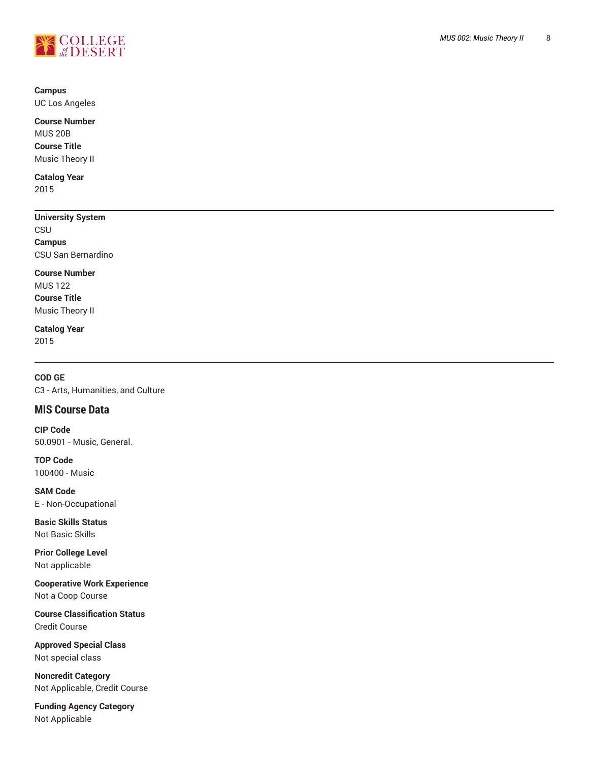

# **Campus**

UC Los Angeles

**Course Number** MUS 20B **Course Title** Music Theor y II

**Catalog Year** 2015

# **University System**

**CSU Campus** CSU San Bernardino

### **Course Number**

MUS 122 **Course Title** Music Theor y II

### **Catalog Year** 2015

**COD GE** C3 - Arts, Humanities, and Culture , ,

## **MIS Course Data**

**CIP Code** 50.0901 - Music, General.

**TOP Code** 100400 - Music

**SAM Code** E - Non-Occupational

**Basic Skills Status** Not Basic Skills

**Prior College Level** Not applicable

**Cooperative Work Experience** Not a Coop Course

**Course Classification Status** Credit Course

**Approved Special Class** Not special class

**Noncredit Catego r y** Not Applicable, Credit Course ,

Funding Agency Category Not Applicable